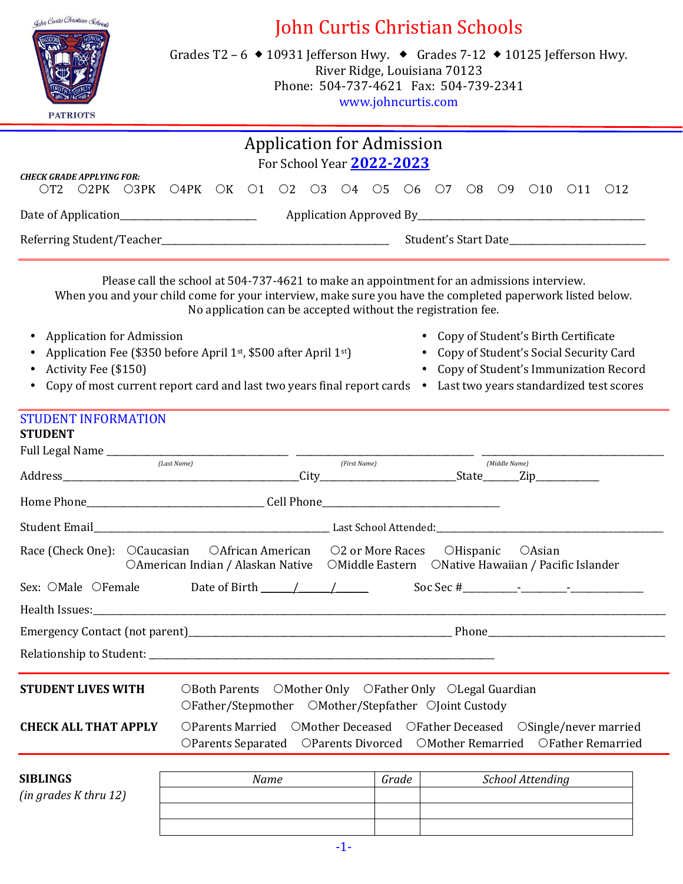

# John Curtis Christian Schools

Grades T2 – 6  $\blacklozenge$  10931 Jefferson Hwy.  $\blacklozenge$  Grades 7-12  $\blacklozenge$  10125 Jefferson Hwy. River Ridge, Louisiana 70123 Phone: 504-737-4621 Fax: 504-739-2341 www.johncurtis.com

|                                                                                                                                                                                                                                            |                                                                                         |                                                                                                                                                      |  | <b>Application for Admission</b><br>For School Year 2022-2023 |                      |              |               |                  |                                                                                                                          |  |
|--------------------------------------------------------------------------------------------------------------------------------------------------------------------------------------------------------------------------------------------|-----------------------------------------------------------------------------------------|------------------------------------------------------------------------------------------------------------------------------------------------------|--|---------------------------------------------------------------|----------------------|--------------|---------------|------------------|--------------------------------------------------------------------------------------------------------------------------|--|
| <b>CHECK GRADE APPLYING FOR:</b><br>O2PK O3PK O4PK OK O1 O2 O3 O4 O5 O6 O7 O8 O9 O10 O11 O12<br>$\overline{\text{OT2}}$                                                                                                                    |                                                                                         |                                                                                                                                                      |  |                                                               |                      |              |               |                  |                                                                                                                          |  |
|                                                                                                                                                                                                                                            |                                                                                         |                                                                                                                                                      |  |                                                               |                      |              |               |                  |                                                                                                                          |  |
|                                                                                                                                                                                                                                            |                                                                                         |                                                                                                                                                      |  |                                                               | Student's Start Date |              |               |                  |                                                                                                                          |  |
| Please call the school at 504-737-4621 to make an appointment for an admissions interview.<br>When you and your child come for your interview, make sure you have the completed paperwork listed below.                                    |                                                                                         | No application can be accepted without the registration fee.                                                                                         |  |                                                               |                      |              |               |                  |                                                                                                                          |  |
| • Application for Admission<br>Application Fee (\$350 before April 1st, \$500 after April 1st)<br>Activity Fee (\$150)<br>Copy of most current report card and last two years final report cards • Last two years standardized test scores |                                                                                         |                                                                                                                                                      |  |                                                               |                      |              |               |                  | • Copy of Student's Birth Certificate<br>Copy of Student's Social Security Card<br>Copy of Student's Immunization Record |  |
| <b>STUDENT INFORMATION</b><br><b>STUDENT</b><br>Full Legal Name ___________                                                                                                                                                                |                                                                                         | <u> 1980 - Andrea Andrew Maria (b. 19</u>                                                                                                            |  |                                                               |                      |              |               |                  |                                                                                                                          |  |
|                                                                                                                                                                                                                                            | (Last Name)                                                                             |                                                                                                                                                      |  | (First Name)                                                  |                      |              | (Middle Name) |                  |                                                                                                                          |  |
|                                                                                                                                                                                                                                            |                                                                                         |                                                                                                                                                      |  |                                                               |                      |              |               |                  |                                                                                                                          |  |
|                                                                                                                                                                                                                                            |                                                                                         |                                                                                                                                                      |  |                                                               |                      |              |               |                  |                                                                                                                          |  |
| Race (Check One): OCaucasian                                                                                                                                                                                                               | OAmerican Indian / Alaskan Native  OMiddle Eastern  ONative Hawaiian / Pacific Islander | OAfrican American O2 or More Races                                                                                                                   |  |                                                               |                      | $OH$ ispanic |               | OAsian           |                                                                                                                          |  |
| Sex: OMale OFemale Date of Birth 11                                                                                                                                                                                                        |                                                                                         |                                                                                                                                                      |  |                                                               |                      |              |               |                  |                                                                                                                          |  |
|                                                                                                                                                                                                                                            |                                                                                         |                                                                                                                                                      |  |                                                               |                      |              |               |                  |                                                                                                                          |  |
|                                                                                                                                                                                                                                            |                                                                                         |                                                                                                                                                      |  |                                                               |                      |              |               |                  |                                                                                                                          |  |
|                                                                                                                                                                                                                                            |                                                                                         |                                                                                                                                                      |  |                                                               |                      |              |               |                  |                                                                                                                          |  |
| <b>STUDENT LIVES WITH</b>                                                                                                                                                                                                                  |                                                                                         | OBoth Parents OMother Only OFather Only OLegal Guardian<br>OFather/Stepmother OMother/Stepfather OJoint Custody                                      |  |                                                               |                      |              |               |                  |                                                                                                                          |  |
| <b>CHECK ALL THAT APPLY</b>                                                                                                                                                                                                                |                                                                                         | OParents Married OMother Deceased OFather Deceased OSingle/never married<br>OParents Separated OParents Divorced OMother Remarried OFather Remarried |  |                                                               |                      |              |               |                  |                                                                                                                          |  |
| SIBLINGS<br>(in grades K thru 12)                                                                                                                                                                                                          |                                                                                         | Name                                                                                                                                                 |  | Grade                                                         |                      |              |               | School Attending |                                                                                                                          |  |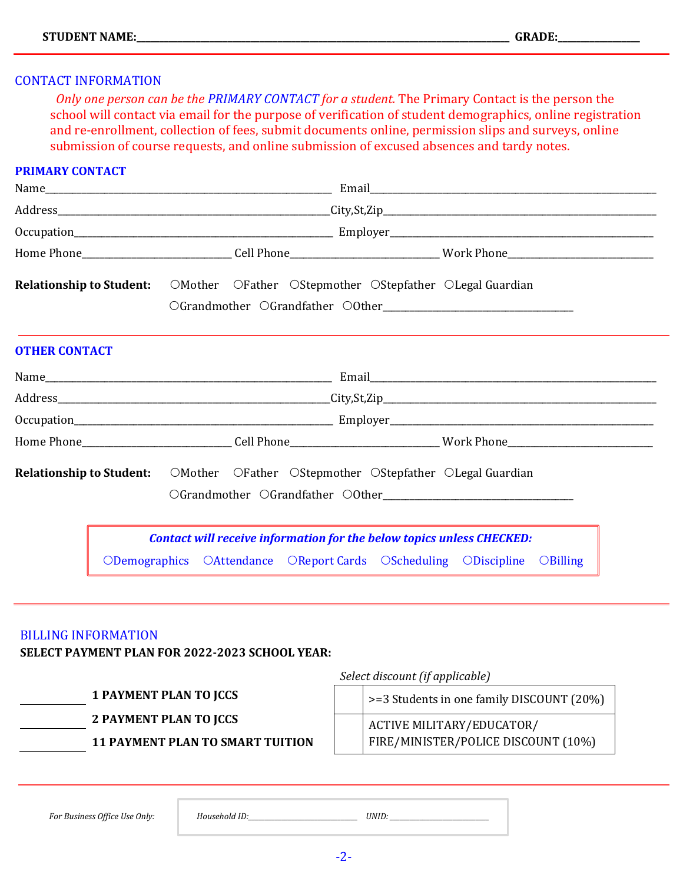#### CONTACT INFORMATION

 *Only one person can be the PRIMARY CONTACT for a student.* The Primary Contact is the person the school will contact via email for the purpose of verification of student demographics, online registration and re-enrollment, collection of fees, submit documents online, permission slips and surveys, online submission of course requests, and online submission of excused absences and tardy notes.

#### **PRIMARY CONTACT**

| Home Phone______________________________Cell Phone_____________________________Work Phone___________________________ |  |  |  |                                                                              |  |
|----------------------------------------------------------------------------------------------------------------------|--|--|--|------------------------------------------------------------------------------|--|
| <b>Relationship to Student:</b> OMother OFather OStepmother OStepfather OLegal Guardian                              |  |  |  |                                                                              |  |
|                                                                                                                      |  |  |  |                                                                              |  |
| <b>OTHER CONTACT</b>                                                                                                 |  |  |  |                                                                              |  |
|                                                                                                                      |  |  |  |                                                                              |  |
|                                                                                                                      |  |  |  |                                                                              |  |
|                                                                                                                      |  |  |  |                                                                              |  |
| Home Phone______________________________Cell Phone______________________________Work Phone__________________________ |  |  |  |                                                                              |  |
| <b>Relationship to Student:</b> OMother OFather OStepmother OStepfather OLegal Guardian                              |  |  |  |                                                                              |  |
|                                                                                                                      |  |  |  |                                                                              |  |
|                                                                                                                      |  |  |  | <b>Contact will receive information for the below topics unless CHECKED:</b> |  |
|                                                                                                                      |  |  |  | ODemographics OAttendance OReport Cards OScheduling ODiscipline OBilling     |  |

#### BILLING INFORMATION

**SELECT PAYMENT PLAN FOR 2022-2023 SCHOOL YEAR:**

**1 PAYMENT PLAN TO JCCS 2 PAYMENT PLAN TO JCCS**

**11 PAYMENT PLAN TO SMART TUITION**

>=3 Students in one family DISCOUNT (20%) ACTIVE MILITARY/EDUCATOR/ FIRE/MINISTER/POLICE DISCOUNT (10%)

*For Business Office Use Only: Household ID:\_\_\_\_\_\_\_\_\_\_\_\_\_\_\_\_\_\_\_\_\_\_\_\_\_\_\_\_\_\_\_\_\_ UNID: \_\_\_\_\_\_\_\_\_\_\_\_\_\_\_\_\_\_\_\_\_\_\_\_\_\_\_\_\_\_*

*Select discount (if applicable)*

-2-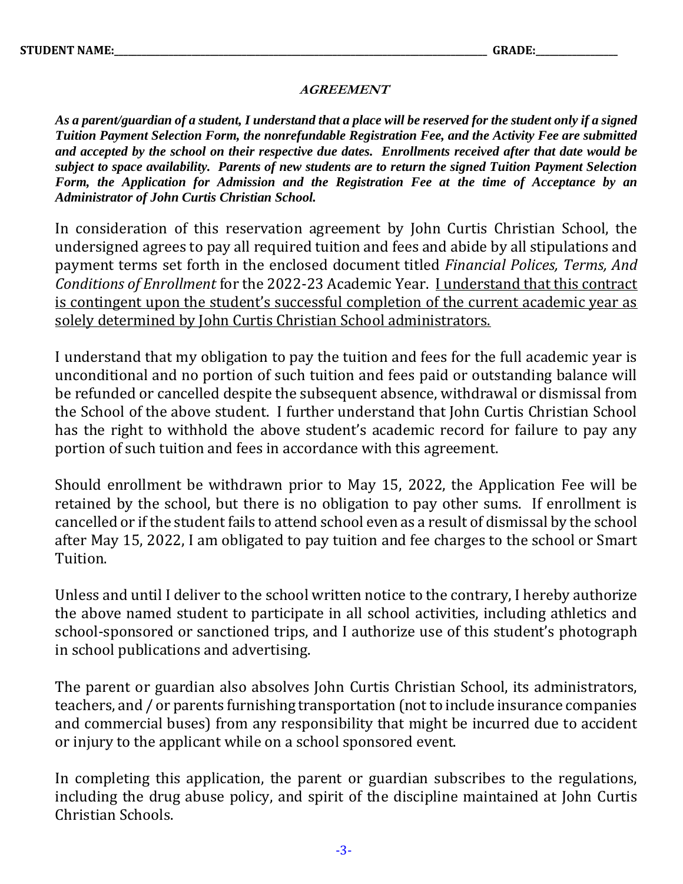#### **AGREEMENT**

*As a parent/guardian of a student, I understand that a place will be reserved for the student only if a signed Tuition Payment Selection Form, the nonrefundable Registration Fee, and the Activity Fee are submitted and accepted by the school on their respective due dates. Enrollments received after that date would be subject to space availability. Parents of new students are to return the signed Tuition Payment Selection Form, the Application for Admission and the Registration Fee at the time of Acceptance by an Administrator of John Curtis Christian School.*

In consideration of this reservation agreement by John Curtis Christian School, the undersigned agrees to pay all required tuition and fees and abide by all stipulations and payment terms set forth in the enclosed document titled *Financial Polices, Terms, And Conditions of Enrollment* for the 2022-23 Academic Year. I understand that this contract is contingent upon the student's successful completion of the current academic year as solely determined by John Curtis Christian School administrators.

I understand that my obligation to pay the tuition and fees for the full academic year is unconditional and no portion of such tuition and fees paid or outstanding balance will be refunded or cancelled despite the subsequent absence, withdrawal or dismissal from the School of the above student. I further understand that John Curtis Christian School has the right to withhold the above student's academic record for failure to pay any portion of such tuition and fees in accordance with this agreement.

Should enrollment be withdrawn prior to May 15, 2022, the Application Fee will be retained by the school, but there is no obligation to pay other sums. If enrollment is cancelled or if the student fails to attend school even as a result of dismissal by the school after May 15, 2022, I am obligated to pay tuition and fee charges to the school or Smart Tuition.

Unless and until I deliver to the school written notice to the contrary, I hereby authorize the above named student to participate in all school activities, including athletics and school-sponsored or sanctioned trips, and I authorize use of this student's photograph in school publications and advertising.

The parent or guardian also absolves John Curtis Christian School, its administrators, teachers, and / or parents furnishing transportation (not to include insurance companies and commercial buses) from any responsibility that might be incurred due to accident or injury to the applicant while on a school sponsored event.

In completing this application, the parent or guardian subscribes to the regulations, including the drug abuse policy, and spirit of the discipline maintained at John Curtis Christian Schools.